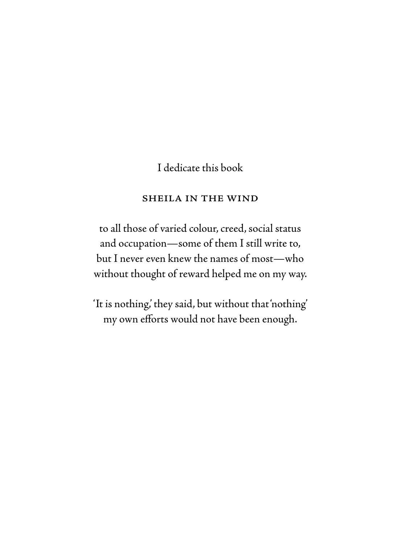## I dedicate this book

### sheila in the wind

to all those of varied colour, creed, social status and occupation—some of them I still write to, but I never even knew the names of most—who without thought of reward helped me on my way.

'It is nothing,' they said, but without that 'nothing' my own efforts would not have been enough.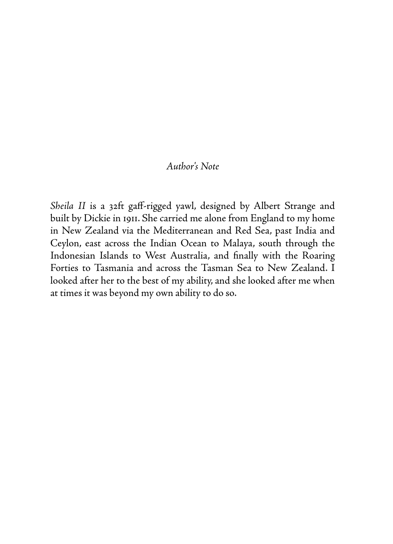## *Author's Note*

*Sheila II* is a 32ft gaff-rigged yawl, designed by Albert Strange and built by Dickie in 1911. She carried me alone from England to my home in New Zealand via the Mediterranean and Red Sea, past India and Ceylon, east across the Indian Ocean to Malaya, south through the Indonesian Islands to West Australia, and finally with the Roaring Forties to Tasmania and across the Tasman Sea to New Zealand. I looked after her to the best of my ability, and she looked after me when at times it was beyond my own ability to do so.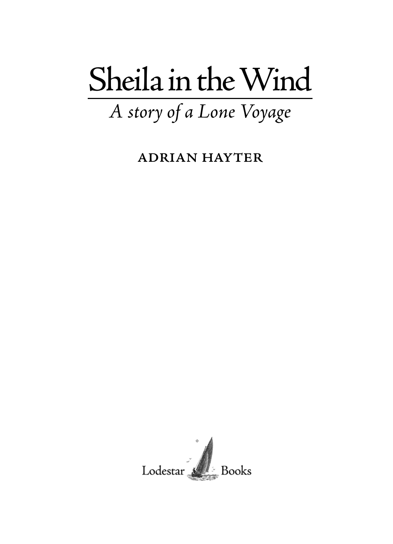# Sheila in the Wind *A story of a Lone Voyage*

adrian hayter

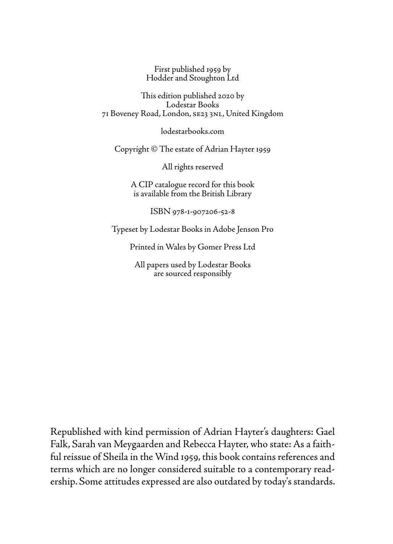First published 1959 by Hodder and Stoughton Ltd

This edition published 2020 by Lodestar Books 71 Boveney Road, London, se23 3nl, United Kingdom

lodestarbooks.com

Copyright © The estate of Adrian Hayter 1959

All rights reserved

A CIP catalogue record for this book is available from the British Library

ISBN 978-1-907206-52-8

Typeset by Lodestar Books in Adobe Jenson Pro

Printed in Wales by Gomer Press Ltd

All papers used by Lodestar Books are sourced responsibly

Republished with kind permission of Adrian Hayter's daughters: Gael Falk, Sarah van Meygaarden and Rebecca Hayter, who state: As a faithful reissue of Sheila in the Wind 1959, this book contains references and terms which are no longer considered suitable to a contemporary readership. Some attitudes expressed are also outdated by today's standards.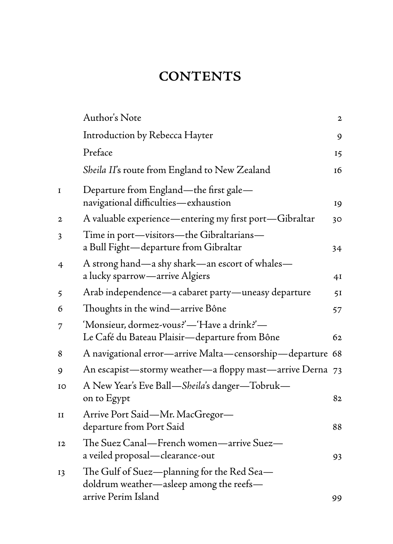# **CONTENTS**

|    | Author's Note                                                                                                | $\mathbf{2}$ |
|----|--------------------------------------------------------------------------------------------------------------|--------------|
|    | Introduction by Rebecca Hayter                                                                               | 9            |
|    | Preface                                                                                                      | 15           |
|    | Sheila II's route from England to New Zealand                                                                | 16           |
| I  | Departure from England—the first gale—<br>navigational difficulties-exhaustion                               | 19           |
| 2  | A valuable experience—entering my first port—Gibraltar                                                       | 30           |
| 3  | Time in port—visitors—the Gibraltarians—<br>a Bull Fight-departure from Gibraltar                            | 34           |
| 4  | A strong hand—a shy shark—an escort of whales—<br>a lucky sparrow—arrive Algiers                             | 4I           |
| 5  | Arab independence—a cabaret party—uneasy departure                                                           | 5I           |
| 6  | Thoughts in the wind—arrive Bône                                                                             | 57           |
| 7  | 'Monsieur, dormez-vous?'—'Have a drink?'—<br>Le Café du Bateau Plaisir-departure from Bône                   | 62           |
| 8  | A navigational error—arrive Malta—censorship—departure 68                                                    |              |
| 9  | An escapist—stormy weather—a floppy mast—arrive Derna 73                                                     |              |
| IO | A New Year's Eve Ball—Sheila's danger—Tobruk—<br>on to Egypt                                                 | 82           |
| II | Arrive Port Said—Mr. MacGregor–<br>departure from Port Said                                                  | 88           |
| 12 | The Suez Canal—French women—arrive Suez-<br>a veiled proposal-clearance-out                                  | 93           |
| 13 | The Gulf of Suez-planning for the Red Sea-<br>doldrum weather—asleep among the reefs—<br>arrive Perim Island | 99           |
|    |                                                                                                              |              |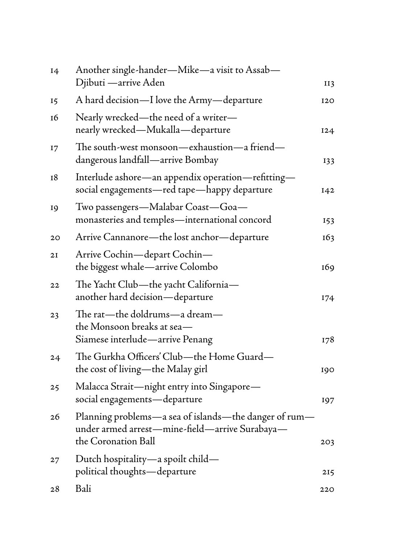| 14 | Another single-hander-Mike-a visit to Assab-<br>Djibuti — arrive Aden                                                          | II <sub>3</sub> |
|----|--------------------------------------------------------------------------------------------------------------------------------|-----------------|
| 15 | A hard decision—I love the Army—departure                                                                                      | 120             |
| 16 | Nearly wrecked—the need of a writer—<br>nearly wrecked—Mukalla—departure                                                       | 124             |
| 17 | The south-west monsoon—exhaustion—a friend—<br>dangerous landfall—arrive Bombay                                                | 133             |
| 18 | Interlude ashore—an appendix operation—refitting—<br>social engagements-red tape-happy departure                               | 142             |
| 19 | Two passengers—Malabar Coast—Goa—<br>monasteries and temples-international concord                                             | 153             |
| 20 | Arrive Cannanore—the lost anchor—departure                                                                                     | 163             |
| 21 | Arrive Cochin—depart Cochin—<br>the biggest whale—arrive Colombo                                                               | 169             |
| 22 | The Yacht Club—the yacht California—<br>another hard decision—departure                                                        | 174             |
| 23 | The rat—the doldrums—a dream—<br>the Monsoon breaks at sea-<br>Siamese interlude-arrive Penang                                 | 178             |
| 24 | The Gurkha Officers' Club—the Home Guard—<br>the cost of living—the Malay girl                                                 | 190             |
| 25 | Malacca Strait—night entry into Singapore—<br>social engagements—departure                                                     | 197             |
| 26 | Planning problems-a sea of islands-the danger of rum-<br>under armed arrest—mine-field—arrive Surabaya-<br>the Coronation Ball | 203             |
| 27 | Dutch hospitality—a spoilt child—<br>political thoughts—departure                                                              | 215             |
| 28 | Bali                                                                                                                           | 220             |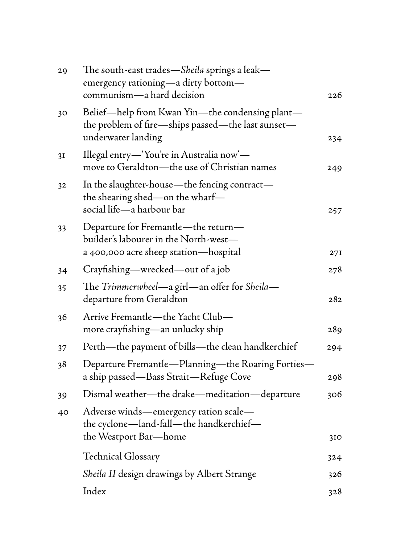| 29 | The south-east trades—Sheila springs a leak—<br>emergency rationing-a dirty bottom-<br>communism—a hard decision           | 226 |
|----|----------------------------------------------------------------------------------------------------------------------------|-----|
| 30 | Belief—help from Kwan Yin—the condensing plant—<br>the problem of fire—ships passed—the last sunset—<br>underwater landing | 234 |
| 31 | Illegal entry—'You're in Australia now'—<br>move to Geraldton-the use of Christian names                                   | 249 |
| 32 | In the slaughter-house—the fencing contract—<br>the shearing shed-on the wharf-<br>social life-a harbour bar               | 257 |
| 33 | Departure for Fremantle-the return-<br>builder's labourer in the North-west-<br>a 400,000 acre sheep station—hospital      | 27I |
| 34 | Crayfishing—wrecked—out of a job                                                                                           | 278 |
| 35 | The <i>Trimmerwheel</i> —a girl—an offer for Sheila—<br>departure from Geraldton                                           | 282 |
| 36 | Arrive Fremantle-the Yacht Club-<br>more crayfishing—an unlucky ship                                                       | 289 |
| 37 | Perth—the payment of bills—the clean handkerchief                                                                          | 294 |
| 38 | Departure Fremantle-Planning-the Roaring Forties-<br>a ship passed—Bass Strait—Refuge Cove                                 | 298 |
| 39 | Dismal weather-the drake-meditation-departure                                                                              | 306 |
| 40 | Adverse winds—emergency ration scale—<br>the cyclone-land-fall-the handkerchief-                                           |     |
|    | the Westport Bar—home                                                                                                      | 310 |
|    | <b>Technical Glossary</b>                                                                                                  | 324 |
|    | Sheila II design drawings by Albert Strange                                                                                | 326 |
|    | Index                                                                                                                      | 328 |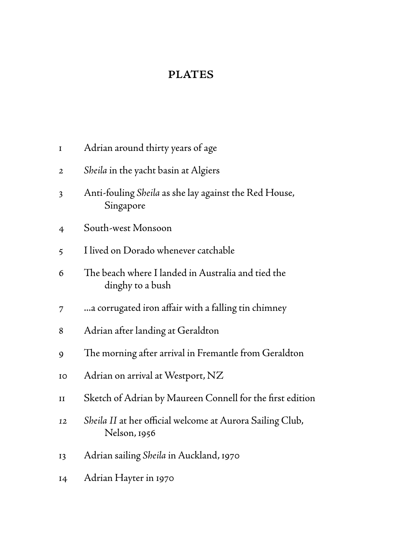## **PLATES**

| I            | Adrian around thirty years of age                                         |
|--------------|---------------------------------------------------------------------------|
| 2            | Sheila in the yacht basin at Algiers                                      |
| 3            | Anti-fouling Sheila as she lay against the Red House,<br>Singapore        |
| 4            | South-west Monsoon                                                        |
| 5            | I lived on Dorado whenever catchable                                      |
| 6            | The beach where I landed in Australia and tied the<br>dinghy to a bush    |
| 7            | a corrugated iron affair with a falling tin chimney                       |
| 8            | Adrian after landing at Geraldton                                         |
| 9            | The morning after arrival in Fremantle from Geraldton                     |
| IO           | Adrian on arrival at Westport, NZ                                         |
| $\mathbf{I}$ | Sketch of Adrian by Maureen Connell for the first edition                 |
| 12           | Sheila II at her official welcome at Aurora Sailing Club,<br>Nelson, 1956 |
| 13           | Adrian sailing Sheila in Auckland, 1970                                   |
| 14           | Adrian Hayter in 1970                                                     |
|              |                                                                           |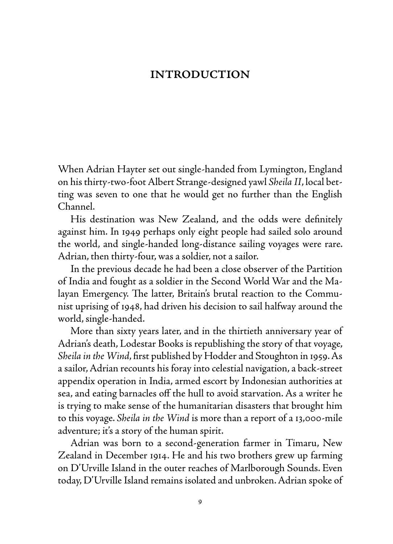## **INTRODUCTION**

When Adrian Hayter set out single-handed from Lymington, England on his thirty-two-foot Albert Strange-designed yawl *Sheila II*, local betting was seven to one that he would get no further than the English Channel.

His destination was New Zealand, and the odds were definitely against him. In 1949 perhaps only eight people had sailed solo around the world, and single-handed long-distance sailing voyages were rare. Adrian, then thirty-four, was a soldier, not a sailor.

In the previous decade he had been a close observer of the Partition of India and fought as a soldier in the Second World War and the Malayan Emergency. The latter, Britain's brutal reaction to the Communist uprising of 1948, had driven his decision to sail halfway around the world, single-handed.

More than sixty years later, and in the thirtieth anniversary year of Adrian's death, Lodestar Books is republishing the story of that voyage, *Sheila in the Wind*, first published by Hodder and Stoughton in 1959. As a sailor, Adrian recounts his foray into celestial navigation, a back-street appendix operation in India, armed escort by Indonesian authorities at sea, and eating barnacles off the hull to avoid starvation. As a writer he is trying to make sense of the humanitarian disasters that brought him to this voyage. *Sheila in the Wind* is more than a report of a 13,000-mile adventure; it's a story of the human spirit.

Adrian was born to a second-generation farmer in Timaru, New Zealand in December 1914. He and his two brothers grew up farming on D'Urville Island in the outer reaches of Marlborough Sounds. Even today, D'Urville Island remains isolated and unbroken. Adrian spoke of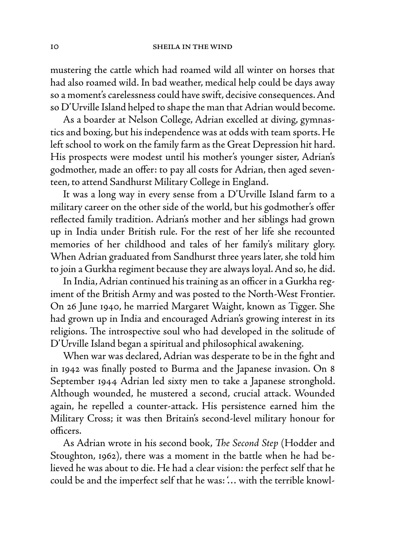mustering the cattle which had roamed wild all winter on horses that had also roamed wild. In bad weather, medical help could be days away so a moment's carelessness could have swift, decisive consequences. And so D'Urville Island helped to shape the man that Adrian would become.

As a boarder at Nelson College, Adrian excelled at diving, gymnastics and boxing, but his independence was at odds with team sports. He left school to work on the family farm as the Great Depression hit hard. His prospects were modest until his mother's younger sister, Adrian's godmother, made an offer: to pay all costs for Adrian, then aged seventeen, to attend Sandhurst Military College in England.

It was a long way in every sense from a D'Urville Island farm to a military career on the other side of the world, but his godmother's offer reflected family tradition. Adrian's mother and her siblings had grown up in India under British rule. For the rest of her life she recounted memories of her childhood and tales of her family's military glory. When Adrian graduated from Sandhurst three years later, she told him to join a Gurkha regiment because they are always loyal. And so, he did.

In India, Adrian continued his training as an officer in a Gurkha regiment of the British Army and was posted to the North-West Frontier. On 26 June 1940, he married Margaret Waight, known as Tigger. She had grown up in India and encouraged Adrian's growing interest in its religions. The introspective soul who had developed in the solitude of D'Urville Island began a spiritual and philosophical awakening.

When war was declared, Adrian was desperate to be in the fight and in 1942 was finally posted to Burma and the Japanese invasion. On 8 September 1944 Adrian led sixty men to take a Japanese stronghold. Although wounded, he mustered a second, crucial attack. Wounded again, he repelled a counter-attack. His persistence earned him the Military Cross; it was then Britain's second-level military honour for officers.

As Adrian wrote in his second book, *The Second Step* (Hodder and Stoughton, 1962), there was a moment in the battle when he had believed he was about to die. He had a clear vision: the perfect self that he could be and the imperfect self that he was: '… with the terrible knowl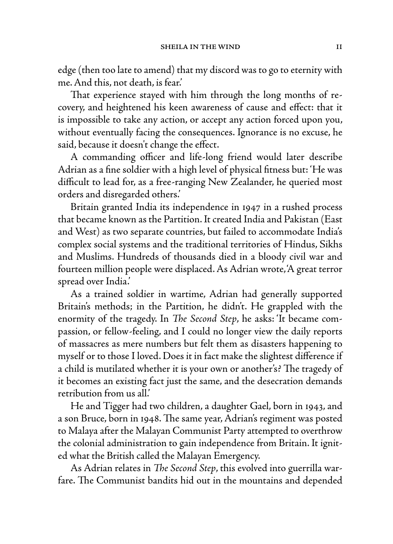edge (then too late to amend) that my discord was to go to eternity with me. And this, not death, is fear.'

That experience stayed with him through the long months of recovery, and heightened his keen awareness of cause and effect: that it is impossible to take any action, or accept any action forced upon you, without eventually facing the consequences. Ignorance is no excuse, he said, because it doesn't change the effect.

A commanding officer and life-long friend would later describe Adrian as a fine soldier with a high level of physical fitness but: 'He was difficult to lead for, as a free-ranging New Zealander, he queried most orders and disregarded others.'

Britain granted India its independence in 1947 in a rushed process that became known as the Partition. It created India and Pakistan (East and West) as two separate countries, but failed to accommodate India's complex social systems and the traditional territories of Hindus, Sikhs and Muslims. Hundreds of thousands died in a bloody civil war and fourteen million people were displaced. As Adrian wrote, 'A great terror spread over India.'

As a trained soldier in wartime, Adrian had generally supported Britain's methods; in the Partition, he didn't. He grappled with the enormity of the tragedy. In *The Second Step*, he asks: 'It became compassion, or fellow-feeling, and I could no longer view the daily reports of massacres as mere numbers but felt them as disasters happening to myself or to those I loved. Does it in fact make the slightest difference if a child is mutilated whether it is your own or another's? The tragedy of it becomes an existing fact just the same, and the desecration demands retribution from us all.'

He and Tigger had two children, a daughter Gael, born in 1943, and a son Bruce, born in 1948. The same year, Adrian's regiment was posted to Malaya after the Malayan Communist Party attempted to overthrow the colonial administration to gain independence from Britain. It ignited what the British called the Malayan Emergency.

As Adrian relates in *The Second Step*, this evolved into guerrilla warfare. The Communist bandits hid out in the mountains and depended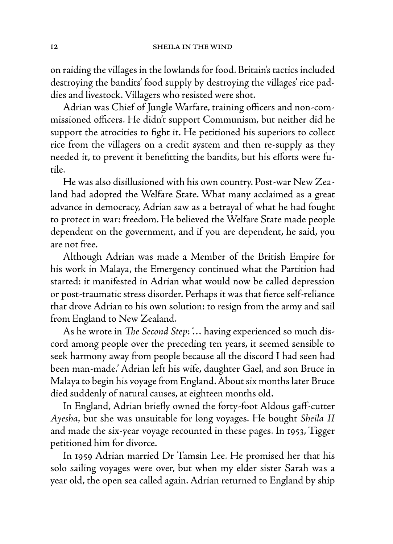on raiding the villages in the lowlands for food. Britain's tactics included destroying the bandits' food supply by destroying the villages' rice paddies and livestock. Villagers who resisted were shot.

Adrian was Chief of Jungle Warfare, training officers and non-commissioned officers. He didn't support Communism, but neither did he support the atrocities to fight it. He petitioned his superiors to collect rice from the villagers on a credit system and then re-supply as they needed it, to prevent it benefitting the bandits, but his efforts were futile.

He was also disillusioned with his own country. Post-war New Zealand had adopted the Welfare State. What many acclaimed as a great advance in democracy, Adrian saw as a betrayal of what he had fought to protect in war: freedom. He believed the Welfare State made people dependent on the government, and if you are dependent, he said, you are not free.

Although Adrian was made a Member of the British Empire for his work in Malaya, the Emergency continued what the Partition had started: it manifested in Adrian what would now be called depression or post-traumatic stress disorder. Perhaps it was that fierce self-reliance that drove Adrian to his own solution: to resign from the army and sail from England to New Zealand.

As he wrote in *The Second Step*: '… having experienced so much discord among people over the preceding ten years, it seemed sensible to seek harmony away from people because all the discord I had seen had been man-made.' Adrian left his wife, daughter Gael, and son Bruce in Malaya to begin his voyage from England. About six months later Bruce died suddenly of natural causes, at eighteen months old.

In England, Adrian briefly owned the forty-foot Aldous gaff-cutter *Ayesha*, but she was unsuitable for long voyages. He bought *Sheila II* and made the six-year voyage recounted in these pages. In 1953, Tigger petitioned him for divorce.

In 1959 Adrian married Dr Tamsin Lee. He promised her that his solo sailing voyages were over, but when my elder sister Sarah was a year old, the open sea called again. Adrian returned to England by ship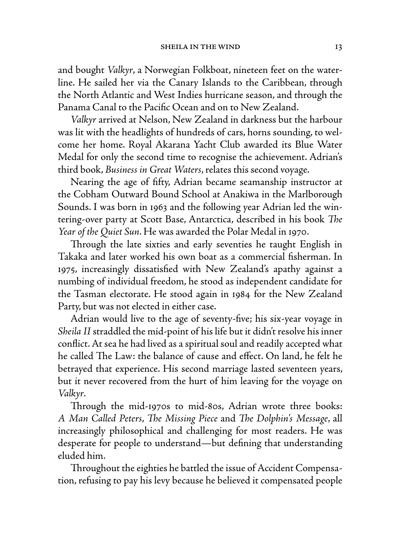and bought *Valkyr*, a Norwegian Folkboat, nineteen feet on the waterline. He sailed her via the Canary Islands to the Caribbean, through the North Atlantic and West Indies hurricane season, and through the Panama Canal to the Pacific Ocean and on to New Zealand.

*Valkyr* arrived at Nelson, New Zealand in darkness but the harbour was lit with the headlights of hundreds of cars, horns sounding, to welcome her home. Royal Akarana Yacht Club awarded its Blue Water Medal for only the second time to recognise the achievement. Adrian's third book, *Business in Great Waters*, relates this second voyage.

Nearing the age of fifty, Adrian became seamanship instructor at the Cobham Outward Bound School at Anakiwa in the Marlborough Sounds. I was born in 1963 and the following year Adrian led the wintering-over party at Scott Base, Antarctica, described in his book *The Year of the Quiet Sun*. He was awarded the Polar Medal in 1970.

Through the late sixties and early seventies he taught English in Takaka and later worked his own boat as a commercial fisherman. In 1975, increasingly dissatisfied with New Zealand's apathy against a numbing of individual freedom, he stood as independent candidate for the Tasman electorate. He stood again in 1984 for the New Zealand Party, but was not elected in either case.

Adrian would live to the age of seventy-five; his six-year voyage in *Sheila II* straddled the mid-point of his life but it didn't resolve his inner conflict. At sea he had lived as a spiritual soul and readily accepted what he called The Law: the balance of cause and effect. On land, he felt he betrayed that experience. His second marriage lasted seventeen years, but it never recovered from the hurt of him leaving for the voyage on *Valkyr*.

Through the mid-1970s to mid-80s, Adrian wrote three books: *A Man Called Peters*, *The Missing Piece* and *The Dolphin's Message*, all increasingly philosophical and challenging for most readers. He was desperate for people to understand—but defining that understanding eluded him.

Throughout the eighties he battled the issue of Accident Compensation, refusing to pay his levy because he believed it compensated people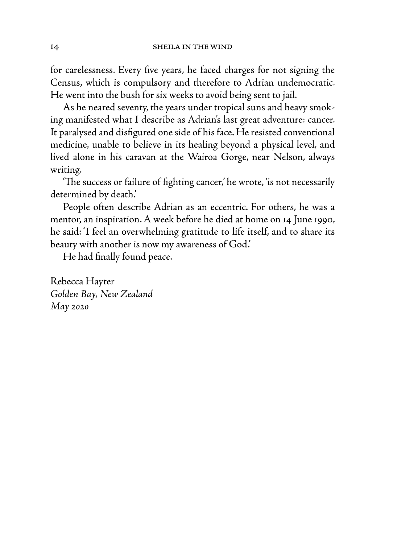for carelessness. Every five years, he faced charges for not signing the Census, which is compulsory and therefore to Adrian undemocratic. He went into the bush for six weeks to avoid being sent to jail.

As he neared seventy, the years under tropical suns and heavy smoking manifested what I describe as Adrian's last great adventure: cancer. It paralysed and disfigured one side of his face. He resisted conventional medicine, unable to believe in its healing beyond a physical level, and lived alone in his caravan at the Wairoa Gorge, near Nelson, always writing.

'The success or failure of fighting cancer,' he wrote, 'is not necessarily determined by death.'

People often describe Adrian as an eccentric. For others, he was a mentor, an inspiration. A week before he died at home on 14 June 1990, he said: 'I feel an overwhelming gratitude to life itself, and to share its beauty with another is now my awareness of God.'

He had finally found peace.

Rebecca Hayter *Golden Bay, New Zealand May 2020*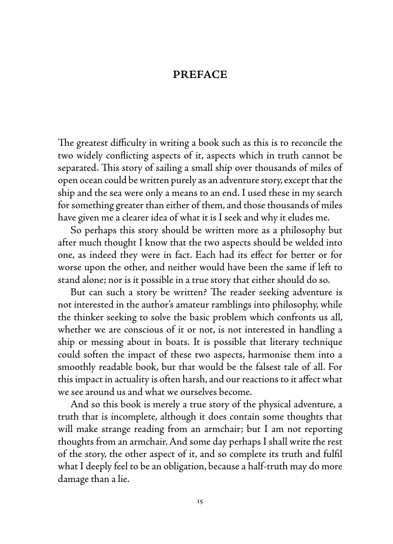#### **PREFACE**

The greatest difficulty in writing a book such as this is to reconcile the two widely conflicting aspects of it, aspects which in truth cannot be separated. This story of sailing a small ship over thousands of miles of open ocean could be written purely as an adventure story, except that the ship and the sea were only a means to an end. I used these in my search for something greater than either of them, and those thousands of miles have given me a clearer idea of what it is I seek and why it eludes me.

So perhaps this story should be written more as a philosophy but after much thought I know that the two aspects should be welded into one, as indeed they were in fact. Each had its effect for better or for worse upon the other, and neither would have been the same if left to stand alone; nor is it possible in a true story that either should do so.

But can such a story be written? The reader seeking adventure is not interested in the author's amateur ramblings into philosophy, while the thinker seeking to solve the basic problem which confronts us all, whether we are conscious of it or not, is not interested in handling a ship or messing about in boats. It is possible that literary technique could soften the impact of these two aspects, harmonise them into a smoothly readable book, but that would be the falsest tale of all. For this impact in actuality is often harsh, and our reactions to it affect what we see around us and what we ourselves become.

And so this book is merely a true story of the physical adventure, a truth that is incomplete, although it does contain some thoughts that will make strange reading from an armchair; but I am not reporting thoughts from an armchair. And some day perhaps I shall write the rest of the story, the other aspect of it, and so complete its truth and fulfil what I deeply feel to be an obligation, because a half-truth may do more damage than a lie.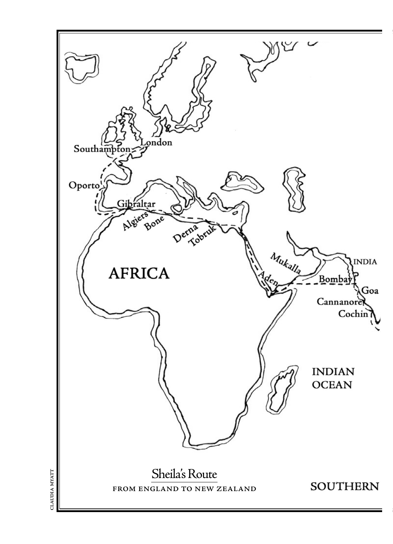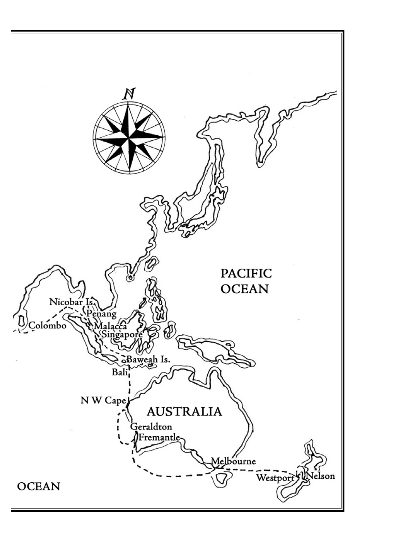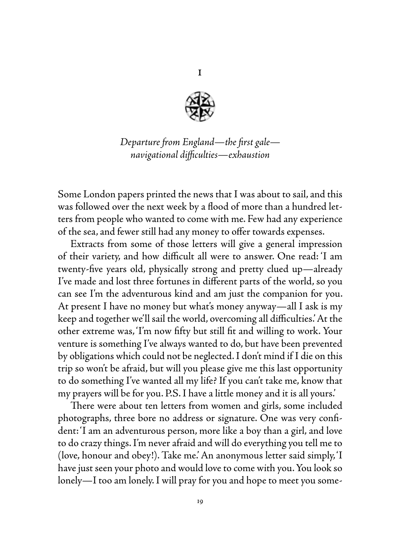

*Departure from England—the first gale navigational difficulties—exhaustion*

Some London papers printed the news that I was about to sail, and this was followed over the next week by a flood of more than a hundred letters from people who wanted to come with me. Few had any experience of the sea, and fewer still had any money to offer towards expenses.

Extracts from some of those letters will give a general impression of their variety, and how difficult all were to answer. One read: 'I am twenty-five years old, physically strong and pretty clued up—already I've made and lost three fortunes in different parts of the world, so you can see I'm the adventurous kind and am just the companion for you. At present I have no money but what's money anyway—all I ask is my keep and together we'll sail the world, overcoming all difficulties.' At the other extreme was, 'I'm now fifty but still fit and willing to work. Your venture is something I've always wanted to do, but have been prevented by obligations which could not be neglected. I don't mind if I die on this trip so won't be afraid, but will you please give me this last opportunity to do something I've wanted all my life? If you can't take me, know that my prayers will be for you. P.S. I have a little money and it is all yours.'

There were about ten letters from women and girls, some included photographs, three bore no address or signature. One was very confident: 'I am an adventurous person, more like a boy than a girl, and love to do crazy things. I'm never afraid and will do everything you tell me to (love, honour and obey!). Take me.' An anonymous letter said simply, 'I have just seen your photo and would love to come with you. You look so lonely—I too am lonely. I will pray for you and hope to meet you some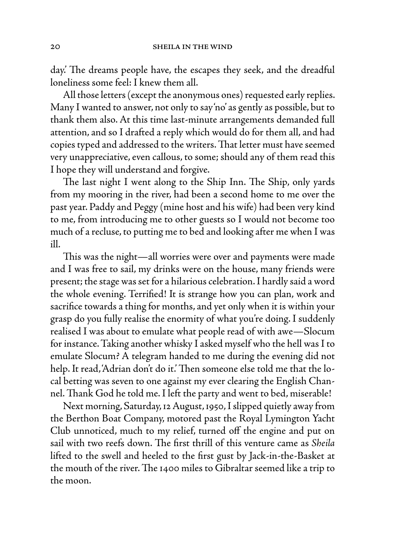day.' The dreams people have, the escapes they seek, and the dreadful loneliness some feel: I knew them all.

All those letters (except the anonymous ones) requested early replies. Many I wanted to answer, not only to say 'no' as gently as possible, but to thank them also. At this time last-minute arrangements demanded full attention, and so I drafted a reply which would do for them all, and had copies typed and addressed to the writers. That letter must have seemed very unappreciative, even callous, to some; should any of them read this I hope they will understand and forgive.

The last night I went along to the Ship Inn. The Ship, only yards from my mooring in the river, had been a second home to me over the past year. Paddy and Peggy (mine host and his wife) had been very kind to me, from introducing me to other guests so I would not become too much of a recluse, to putting me to bed and looking after me when I was ill.

This was the night—all worries were over and payments were made and I was free to sail, my drinks were on the house, many friends were present; the stage was set for a hilarious celebration. I hardly said a word the whole evening. Terrified! It is strange how you can plan, work and sacrifice towards a thing for months, and yet only when it is within your grasp do you fully realise the enormity of what you're doing. I suddenly realised I was about to emulate what people read of with awe—Slocum for instance. Taking another whisky I asked myself who the hell was I to emulate Slocum? A telegram handed to me during the evening did not help. It read, 'Adrian don't do it.' Then someone else told me that the local betting was seven to one against my ever clearing the English Channel. Thank God he told me. I left the party and went to bed, miserable!

Next morning, Saturday, 12 August, 1950, I slipped quietly away from the Berthon Boat Company, motored past the Royal Lymington Yacht Club unnoticed, much to my relief, turned off the engine and put on sail with two reefs down. The first thrill of this venture came as *Sheila* lifted to the swell and heeled to the first gust by Jack-in-the-Basket at the mouth of the river. The 1400 miles to Gibraltar seemed like a trip to the moon.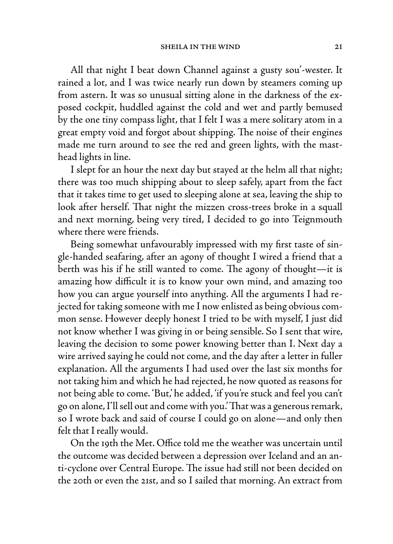All that night I beat down Channel against a gusty sou'-wester. It rained a lot, and I was twice nearly run down by steamers coming up from astern. It was so unusual sitting alone in the darkness of the exposed cockpit, huddled against the cold and wet and partly bemused by the one tiny compass light, that I felt I was a mere solitary atom in a great empty void and forgot about shipping. The noise of their engines made me turn around to see the red and green lights, with the masthead lights in line.

I slept for an hour the next day but stayed at the helm all that night; there was too much shipping about to sleep safely, apart from the fact that it takes time to get used to sleeping alone at sea, leaving the ship to look after herself. That night the mizzen cross-trees broke in a squall and next morning, being very tired, I decided to go into Teignmouth where there were friends.

Being somewhat unfavourably impressed with my first taste of single-handed seafaring, after an agony of thought I wired a friend that a berth was his if he still wanted to come. The agony of thought—it is amazing how difficult it is to know your own mind, and amazing too how you can argue yourself into anything. All the arguments I had rejected for taking someone with me I now enlisted as being obvious common sense. However deeply honest I tried to be with myself, I just did not know whether I was giving in or being sensible. So I sent that wire, leaving the decision to some power knowing better than I. Next day a wire arrived saying he could not come, and the day after a letter in fuller explanation. All the arguments I had used over the last six months for not taking him and which he had rejected, he now quoted as reasons for not being able to come. 'But,' he added, 'if you're stuck and feel you can't go on alone, I'll sell out and come with you.' That was a generous remark, so I wrote back and said of course I could go on alone—and only then felt that I really would.

On the 19th the Met. Office told me the weather was uncertain until the outcome was decided between a depression over Iceland and an anti-cyclone over Central Europe. The issue had still not been decided on the 20th or even the 21st, and so I sailed that morning. An extract from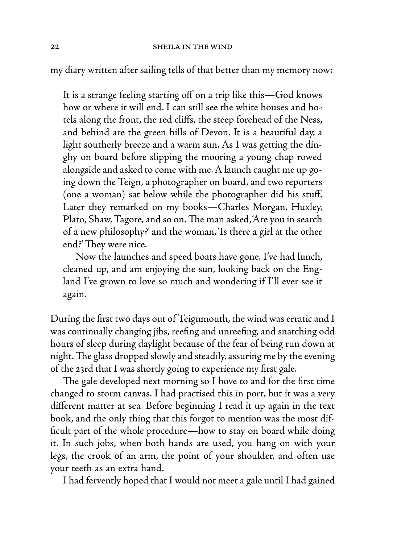my diary written after sailing tells of that better than my memory now:

It is a strange feeling starting off on a trip like this—God knows how or where it will end. I can still see the white houses and hotels along the front, the red cliffs, the steep forehead of the Ness, and behind are the green hills of Devon. It is a beautiful day, a light southerly breeze and a warm sun. As I was getting the dinghy on board before slipping the mooring a young chap rowed alongside and asked to come with me. A launch caught me up going down the Teign, a photographer on board, and two reporters (one a woman) sat below while the photographer did his stuff. Later they remarked on my books—Charles Morgan, Huxley, Plato, Shaw, Tagore, and so on. The man asked, 'Are you in search of a new philosophy?' and the woman, 'Is there a girl at the other end?' They were nice.

Now the launches and speed boats have gone, I've had lunch, cleaned up, and am enjoying the sun, looking back on the England I've grown to love so much and wondering if I'll ever see it again.

During the first two days out of Teignmouth, the wind was erratic and I was continually changing jibs, reefing and unreefing, and snatching odd hours of sleep during daylight because of the fear of being run down at night. The glass dropped slowly and steadily, assuring me by the evening of the 23rd that I was shortly going to experience my first gale.

The gale developed next morning so I hove to and for the first time changed to storm canvas. I had practised this in port, but it was a very different matter at sea. Before beginning I read it up again in the text book, and the only thing that this forgot to mention was the most difficult part of the whole procedure—how to stay on board while doing it. In such jobs, when both hands are used, you hang on with your legs, the crook of an arm, the point of your shoulder, and often use your teeth as an extra hand.

I had fervently hoped that I would not meet a gale until I had gained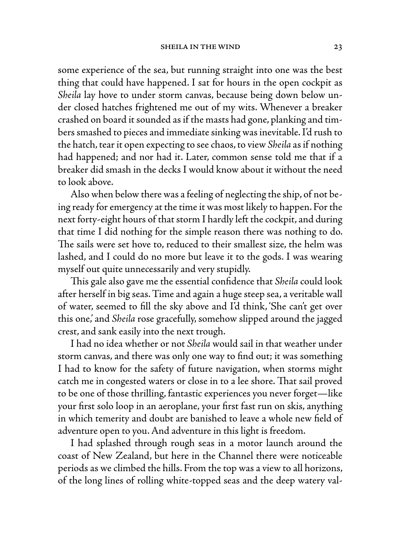some experience of the sea, but running straight into one was the best thing that could have happened. I sat for hours in the open cockpit as *Sheila* lay hove to under storm canvas, because being down below under closed hatches frightened me out of my wits. Whenever a breaker crashed on board it sounded as if the masts had gone, planking and timbers smashed to pieces and immediate sinking was inevitable. I'd rush to the hatch, tear it open expecting to see chaos, to view *Sheila* as if nothing had happened; and nor had it. Later, common sense told me that if a breaker did smash in the decks I would know about it without the need to look above.

Also when below there was a feeling of neglecting the ship, of not being ready for emergency at the time it was most likely to happen. For the next forty-eight hours of that storm I hardly left the cockpit, and during that time I did nothing for the simple reason there was nothing to do. The sails were set hove to, reduced to their smallest size, the helm was lashed, and I could do no more but leave it to the gods. I was wearing myself out quite unnecessarily and very stupidly.

This gale also gave me the essential confidence that *Sheila* could look after herself in big seas. Time and again a huge steep sea, a veritable wall of water, seemed to fill the sky above and I'd think, 'She can't get over this one,' and *Sheila* rose gracefully, somehow slipped around the jagged crest, and sank easily into the next trough.

I had no idea whether or not *Sheila* would sail in that weather under storm canvas, and there was only one way to find out; it was something I had to know for the safety of future navigation, when storms might catch me in congested waters or close in to a lee shore. That sail proved to be one of those thrilling, fantastic experiences you never forget—like your first solo loop in an aeroplane, your first fast run on skis, anything in which temerity and doubt are banished to leave a whole new field of adventure open to you. And adventure in this light is freedom.

I had splashed through rough seas in a motor launch around the coast of New Zealand, but here in the Channel there were noticeable periods as we climbed the hills. From the top was a view to all horizons, of the long lines of rolling white-topped seas and the deep watery val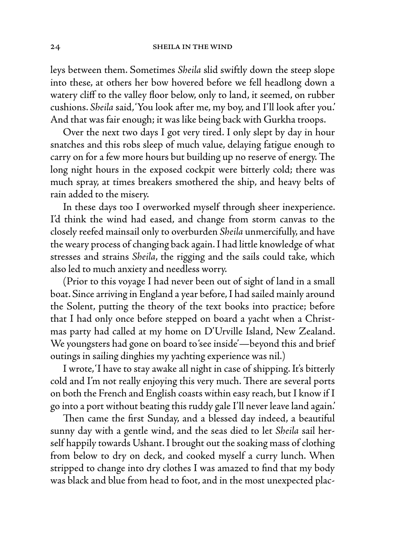leys between them. Sometimes *Sheila* slid swiftly down the steep slope into these, at others her bow hovered before we fell headlong down a watery cliff to the valley floor below, only to land, it seemed, on rubber cushions. *Sheila* said, 'You look after me, my boy, and I'll look after you.' And that was fair enough; it was like being back with Gurkha troops.

Over the next two days I got very tired. I only slept by day in hour snatches and this robs sleep of much value, delaying fatigue enough to carry on for a few more hours but building up no reserve of energy. The long night hours in the exposed cockpit were bitterly cold; there was much spray, at times breakers smothered the ship, and heavy belts of rain added to the misery.

In these days too I overworked myself through sheer inexperience. I'd think the wind had eased, and change from storm canvas to the closely reefed mainsail only to overburden *Sheila* unmercifully, and have the weary process of changing back again. I had little knowledge of what stresses and strains *Sheila*, the rigging and the sails could take, which also led to much anxiety and needless worry.

(Prior to this voyage I had never been out of sight of land in a small boat. Since arriving in England a year before, I had sailed mainly around the Solent, putting the theory of the text books into practice; before that I had only once before stepped on board a yacht when a Christmas party had called at my home on D'Urville Island, New Zealand. We youngsters had gone on board to 'see inside'—beyond this and brief outings in sailing dinghies my yachting experience was nil.)

I wrote, 'I have to stay awake all night in case of shipping. It's bitterly cold and I'm not really enjoying this very much. There are several ports on both the French and English coasts within easy reach, but I know if I go into a port without beating this ruddy gale I'll never leave land again.'

Then came the first Sunday, and a blessed day indeed, a beautiful sunny day with a gentle wind, and the seas died to let *Sheila* sail herself happily towards Ushant. I brought out the soaking mass of clothing from below to dry on deck, and cooked myself a curry lunch. When stripped to change into dry clothes I was amazed to find that my body was black and blue from head to foot, and in the most unexpected plac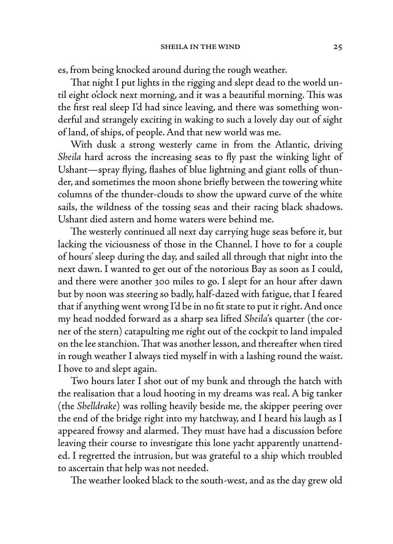es, from being knocked around during the rough weather.

That night I put lights in the rigging and slept dead to the world until eight o'clock next morning, and it was a beautiful morning. This was the first real sleep I'd had since leaving, and there was something wonderful and strangely exciting in waking to such a lovely day out of sight of land, of ships, of people. And that new world was me.

With dusk a strong westerly came in from the Atlantic, driving *Sheila* hard across the increasing seas to fly past the winking light of Ushant—spray flying, flashes of blue lightning and giant rolls of thunder, and sometimes the moon shone briefly between the towering white columns of the thunder-clouds to show the upward curve of the white sails, the wildness of the tossing seas and their racing black shadows. Ushant died astern and home waters were behind me.

The westerly continued all next day carrying huge seas before it, but lacking the viciousness of those in the Channel. I hove to for a couple of hours' sleep during the day, and sailed all through that night into the next dawn. I wanted to get out of the notorious Bay as soon as I could, and there were another 300 miles to go. I slept for an hour after dawn but by noon was steering so badly, half-dazed with fatigue, that I feared that if anything went wrong I'd be in no fit state to put it right. And once my head nodded forward as a sharp sea lifted *Sheila*'s quarter (the corner of the stern) catapulting me right out of the cockpit to land impaled on the lee stanchion. That was another lesson, and thereafter when tired in rough weather I always tied myself in with a lashing round the waist. I hove to and slept again.

Two hours later I shot out of my bunk and through the hatch with the realisation that a loud hooting in my dreams was real. A big tanker (the *Shelldrake*) was rolling heavily beside me, the skipper peering over the end of the bridge right into my hatchway, and I heard his laugh as I appeared frowsy and alarmed. They must have had a discussion before leaving their course to investigate this lone yacht apparently unattended. I regretted the intrusion, but was grateful to a ship which troubled to ascertain that help was not needed.

The weather looked black to the south-west, and as the day grew old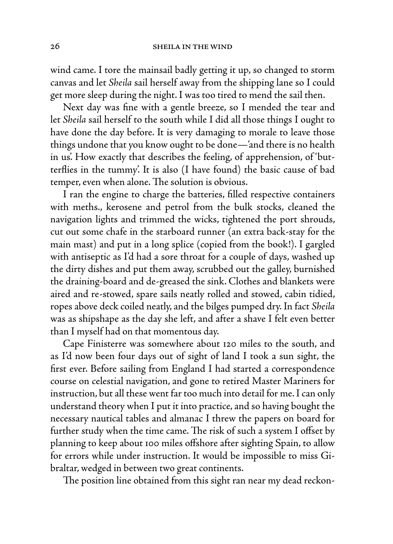wind came. I tore the mainsail badly getting it up, so changed to storm canvas and let *Sheila* sail herself away from the shipping lane so I could get more sleep during the night. I was too tired to mend the sail then.

Next day was fine with a gentle breeze, so I mended the tear and let *Sheila* sail herself to the south while I did all those things I ought to have done the day before. It is very damaging to morale to leave those things undone that you know ought to be done—'and there is no health in us'. How exactly that describes the feeling, of apprehension, of 'butterflies in the tummy'. It is also (I have found) the basic cause of bad temper, even when alone. The solution is obvious.

I ran the engine to charge the batteries, filled respective containers with meths., kerosene and petrol from the bulk stocks, cleaned the navigation lights and trimmed the wicks, tightened the port shrouds, cut out some chafe in the starboard runner (an extra back-stay for the main mast) and put in a long splice (copied from the book!). I gargled with antiseptic as I'd had a sore throat for a couple of days, washed up the dirty dishes and put them away, scrubbed out the galley, burnished the draining-board and de-greased the sink. Clothes and blankets were aired and re-stowed, spare sails neatly rolled and stowed, cabin tidied, ropes above deck coiled neatly, and the bilges pumped dry. In fact *Sheila* was as shipshape as the day she left, and after a shave I felt even better than I myself had on that momentous day.

Cape Finisterre was somewhere about 120 miles to the south, and as I'd now been four days out of sight of land I took a sun sight, the first ever. Before sailing from England I had started a correspondence course on celestial navigation, and gone to retired Master Mariners for instruction, but all these went far too much into detail for me. I can only understand theory when I put it into practice, and so having bought the necessary nautical tables and almanac I threw the papers on board for further study when the time came. The risk of such a system I offset by planning to keep about 100 miles offshore after sighting Spain, to allow for errors while under instruction. It would be impossible to miss Gibraltar, wedged in between two great continents.

The position line obtained from this sight ran near my dead reckon-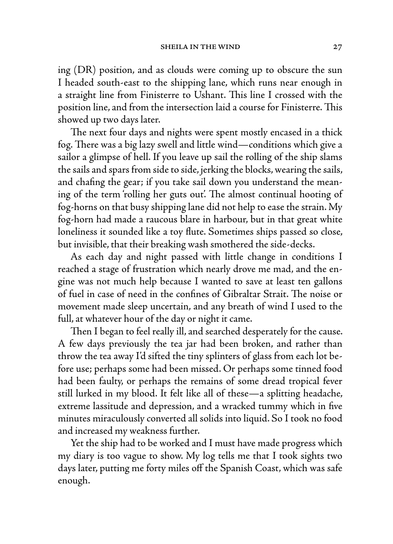ing (DR) position, and as clouds were coming up to obscure the sun I headed south-east to the shipping lane, which runs near enough in a straight line from Finisterre to Ushant. This line I crossed with the position line, and from the intersection laid a course for Finisterre. This showed up two days later.

The next four days and nights were spent mostly encased in a thick fog. There was a big lazy swell and little wind—conditions which give a sailor a glimpse of hell. If you leave up sail the rolling of the ship slams the sails and spars from side to side, jerking the blocks, wearing the sails, and chafing the gear; if you take sail down you understand the meaning of the term 'rolling her guts out'. The almost continual hooting of fog-horns on that busy shipping lane did not help to ease the strain. My fog-horn had made a raucous blare in harbour, but in that great white loneliness it sounded like a toy flute. Sometimes ships passed so close, but invisible, that their breaking wash smothered the side-decks.

As each day and night passed with little change in conditions I reached a stage of frustration which nearly drove me mad, and the engine was not much help because I wanted to save at least ten gallons of fuel in case of need in the confines of Gibraltar Strait. The noise or movement made sleep uncertain, and any breath of wind I used to the full, at whatever hour of the day or night it came.

Then I began to feel really ill, and searched desperately for the cause. A few days previously the tea jar had been broken, and rather than throw the tea away I'd sifted the tiny splinters of glass from each lot before use; perhaps some had been missed. Or perhaps some tinned food had been faulty, or perhaps the remains of some dread tropical fever still lurked in my blood. It felt like all of these—a splitting headache, extreme lassitude and depression, and a wracked tummy which in five minutes miraculously converted all solids into liquid. So I took no food and increased my weakness further.

Yet the ship had to be worked and I must have made progress which my diary is too vague to show. My log tells me that I took sights two days later, putting me forty miles off the Spanish Coast, which was safe enough.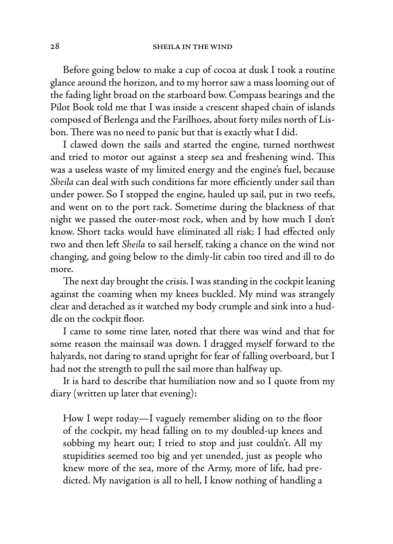Before going below to make a cup of cocoa at dusk I took a routine glance around the horizon, and to my horror saw a mass looming out of the fading light broad on the starboard bow. Compass bearings and the Pilot Book told me that I was inside a crescent shaped chain of islands composed of Berlenga and the Farilhoes, about forty miles north of Lisbon. There was no need to panic but that is exactly what I did.

I clawed down the sails and started the engine, turned northwest and tried to motor out against a steep sea and freshening wind. This was a useless waste of my limited energy and the engine's fuel, because *Sheila* can deal with such conditions far more efficiently under sail than under power. So I stopped the engine, hauled up sail, put in two reefs, and went on to the port tack. Sometime during the blackness of that night we passed the outer-most rock, when and by how much I don't know. Short tacks would have eliminated all risk; I had effected only two and then left *Sheila* to sail herself, taking a chance on the wind not changing, and going below to the dimly-lit cabin too tired and ill to do more.

The next day brought the crisis. I was standing in the cockpit leaning against the coaming when my knees buckled. My mind was strangely clear and detached as it watched my body crumple and sink into a huddle on the cockpit floor.

I came to some time later, noted that there was wind and that for some reason the mainsail was down. I dragged myself forward to the halyards, not daring to stand upright for fear of falling overboard, but I had not the strength to pull the sail more than halfway up.

It is hard to describe that humiliation now and so I quote from my diary (written up later that evening):

How I wept today—I vaguely remember sliding on to the floor of the cockpit, my head falling on to my doubled-up knees and sobbing my heart out; I tried to stop and just couldn't. All my stupidities seemed too big and yet unended, just as people who knew more of the sea, more of the Army, more of life, had predicted. My navigation is all to hell, I know nothing of handling a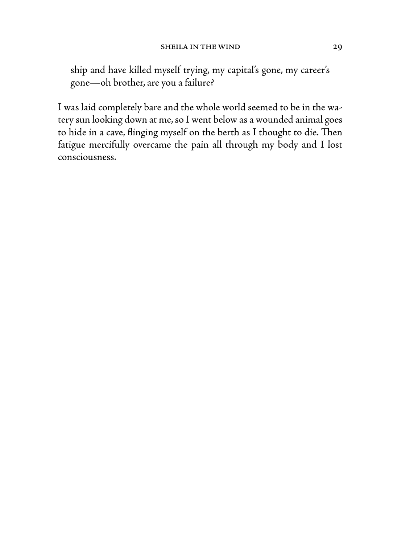ship and have killed myself trying, my capital's gone, my career's gone—oh brother, are you a failure?

I was laid completely bare and the whole world seemed to be in the watery sun looking down at me, so I went below as a wounded animal goes to hide in a cave, flinging myself on the berth as I thought to die. Then fatigue mercifully overcame the pain all through my body and I lost consciousness.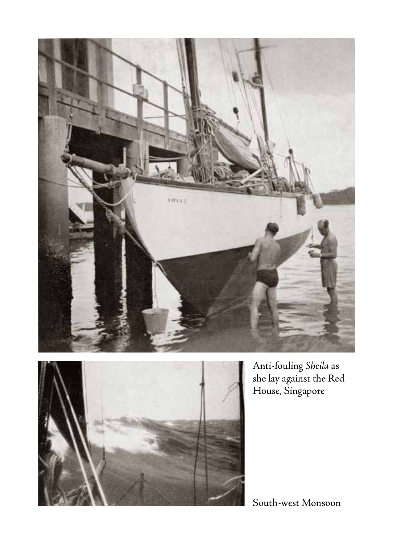



Anti-fouling *Sheila* as she lay against the Red House, Singapore

South-west Monsoon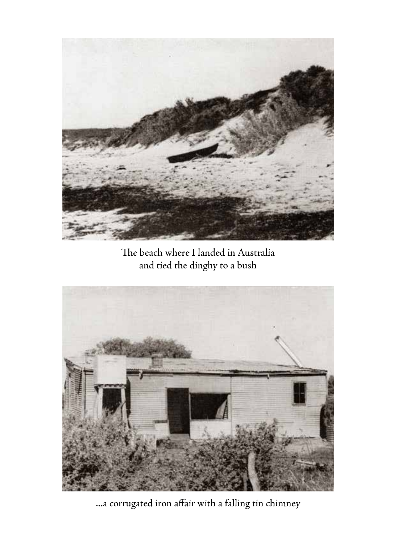

The beach where I landed in Australia and tied the dinghy to a bush



...a corrugated iron affair with a falling tin chimney